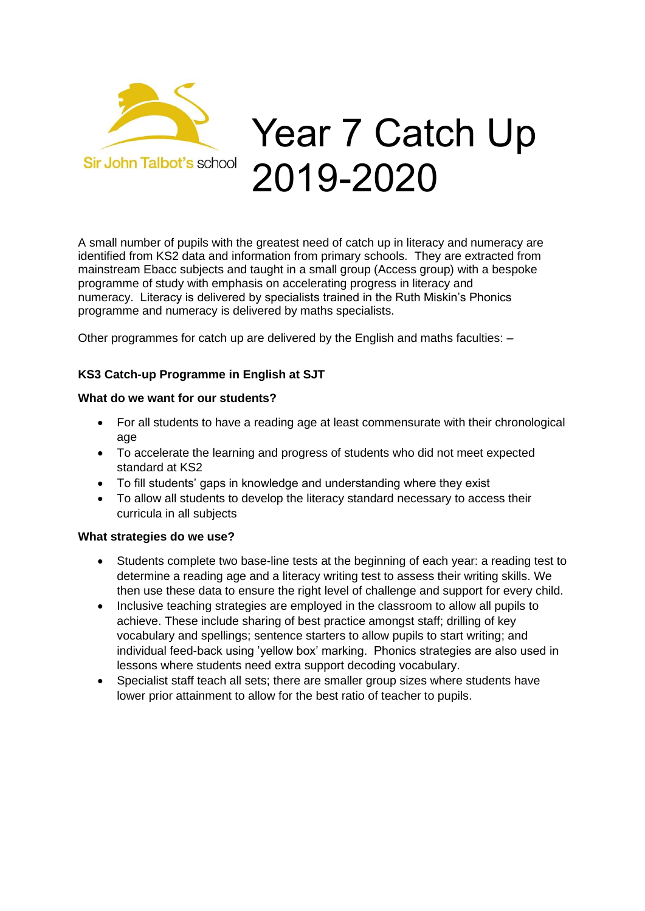

# Year 7 Catch Up 2019-2020

A small number of pupils with the greatest need of catch up in literacy and numeracy are identified from KS2 data and information from primary schools. They are extracted from mainstream Ebacc subjects and taught in a small group (Access group) with a bespoke programme of study with emphasis on accelerating progress in literacy and numeracy. Literacy is delivered by specialists trained in the Ruth Miskin's Phonics programme and numeracy is delivered by maths specialists.

Other programmes for catch up are delivered by the English and maths faculties: –

## **KS3 Catch-up Programme in English at SJT**

## **What do we want for our students?**

- For all students to have a reading age at least commensurate with their chronological age
- To accelerate the learning and progress of students who did not meet expected standard at KS2
- To fill students' gaps in knowledge and understanding where they exist
- To allow all students to develop the literacy standard necessary to access their curricula in all subjects

## **What strategies do we use?**

- Students complete two base-line tests at the beginning of each year: a reading test to determine a reading age and a literacy writing test to assess their writing skills. We then use these data to ensure the right level of challenge and support for every child.
- Inclusive teaching strategies are employed in the classroom to allow all pupils to achieve. These include sharing of best practice amongst staff; drilling of key vocabulary and spellings; sentence starters to allow pupils to start writing; and individual feed-back using 'yellow box' marking. Phonics strategies are also used in lessons where students need extra support decoding vocabulary.
- Specialist staff teach all sets; there are smaller group sizes where students have lower prior attainment to allow for the best ratio of teacher to pupils.